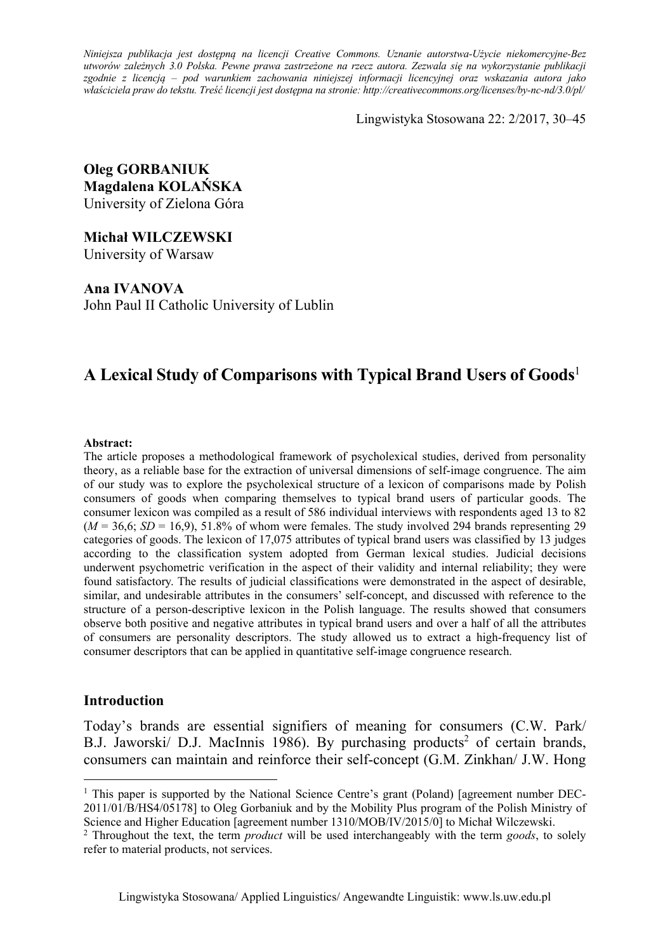*Niniejsza publikacja jest dostępną na licencji Creative Commons. Uznanie autorstwa-Użycie niekomercyjne-Bez utworów zależnych 3.0 Polska. Pewne prawa zastrzeżone na rzecz autora. Zezwala się na wykorzystanie publikacji zgodnie z licencją – pod warunkiem zachowania niniejszej informacji licencyjnej oraz wskazania autora jako właściciela praw do tekstu. Treść licencji jest dostępna na stronie: http://creativecommons.org/licenses/by-nc-nd/3.0/pl/*

Lingwistyka Stosowana 22: 2/2017, 30–45

**Oleg GORBANIUK Magdalena KOLAŃSKA**  University of Zielona Góra

**Michał WILCZEWSKI**  University of Warsaw

**Ana IVANOVA**  John Paul II Catholic University of Lublin

# **A Lexical Study of Comparisons with Typical Brand Users of Goods**<sup>1</sup>

#### **Abstract:**

The article proposes a methodological framework of psycholexical studies, derived from personality theory, as a reliable base for the extraction of universal dimensions of self-image congruence. The aim of our study was to explore the psycholexical structure of a lexicon of comparisons made by Polish consumers of goods when comparing themselves to typical brand users of particular goods. The consumer lexicon was compiled as a result of 586 individual interviews with respondents aged 13 to 82  $(M = 36,6; SD = 16,9)$ , 51.8% of whom were females. The study involved 294 brands representing 29 categories of goods. The lexicon of 17,075 attributes of typical brand users was classified by 13 judges according to the classification system adopted from German lexical studies. Judicial decisions underwent psychometric verification in the aspect of their validity and internal reliability; they were found satisfactory. The results of judicial classifications were demonstrated in the aspect of desirable, similar, and undesirable attributes in the consumers' self-concept, and discussed with reference to the structure of a person-descriptive lexicon in the Polish language. The results showed that consumers observe both positive and negative attributes in typical brand users and over a half of all the attributes of consumers are personality descriptors. The study allowed us to extract a high-frequency list of consumer descriptors that can be applied in quantitative self-image congruence research.

### **Introduction**

 $\overline{a}$ 

Today's brands are essential signifiers of meaning for consumers (C.W. Park/ B.J. Jaworski/ D.J. MacInnis 1986). By purchasing products<sup>2</sup> of certain brands, consumers can maintain and reinforce their self-concept (G.M. Zinkhan/ J.W. Hong

<sup>&</sup>lt;sup>1</sup> This paper is supported by the National Science Centre's grant (Poland) [agreement number DEC-2011/01/B/HS4/05178] to Oleg Gorbaniuk and by the Mobility Plus program of the Polish Ministry of Science and Higher Education [agreement number 1310/MOB/IV/2015/0] to Michał Wilczewski. 2 Throughout the text, the term *product* will be used interchangeably with the term *goods*, to solely

refer to material products, not services.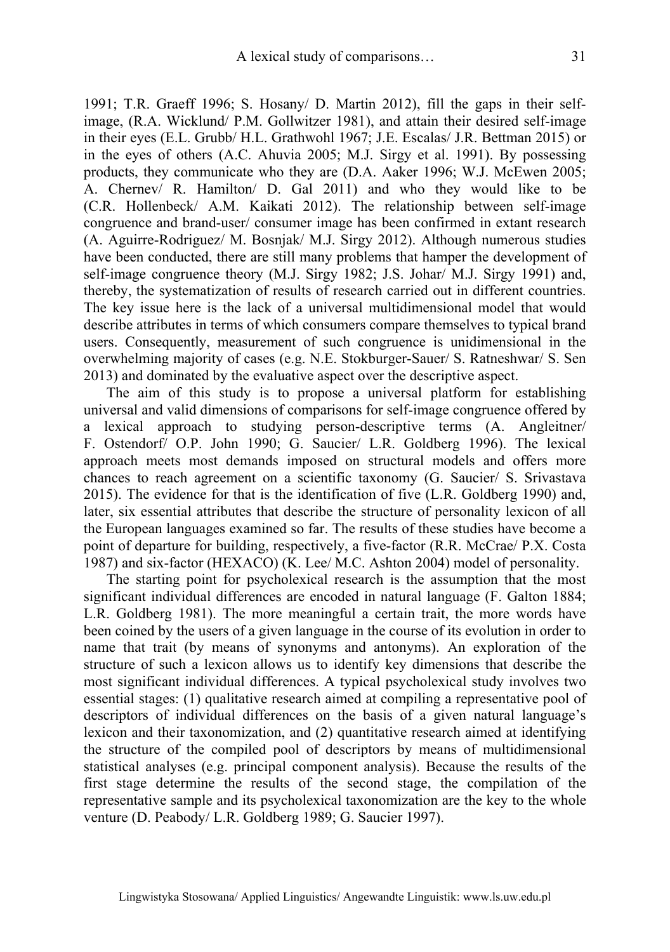1991; T.R. Graeff 1996; S. Hosany/ D. Martin 2012), fill the gaps in their selfimage, (R.A. Wicklund/ P.M. Gollwitzer 1981), and attain their desired self-image in their eyes (E.L. Grubb/ H.L. Grathwohl 1967; J.E. Escalas/ J.R. Bettman 2015) or in the eyes of others (A.C. Ahuvia 2005; M.J. Sirgy et al. 1991). By possessing products, they communicate who they are (D.A. Aaker 1996; W.J. McEwen 2005; A. Chernev/ R. Hamilton/ D. Gal 2011) and who they would like to be (C.R. Hollenbeck/ A.M. Kaikati 2012). The relationship between self-image congruence and brand-user/ consumer image has been confirmed in extant research (A. Aguirre-Rodriguez/ M. Bosnjak/ M.J. Sirgy 2012). Although numerous studies have been conducted, there are still many problems that hamper the development of self-image congruence theory (M.J. Sirgy 1982; J.S. Johar/ M.J. Sirgy 1991) and, thereby, the systematization of results of research carried out in different countries. The key issue here is the lack of a universal multidimensional model that would describe attributes in terms of which consumers compare themselves to typical brand users. Consequently, measurement of such congruence is unidimensional in the overwhelming majority of cases (e.g. N.E. Stokburger-Sauer/ S. Ratneshwar/ S. Sen 2013) and dominated by the evaluative aspect over the descriptive aspect.

The aim of this study is to propose a universal platform for establishing universal and valid dimensions of comparisons for self-image congruence offered by a lexical approach to studying person-descriptive terms (A. Angleitner/ F. Ostendorf/ O.P. John 1990; G. Saucier/ L.R. Goldberg 1996). The lexical approach meets most demands imposed on structural models and offers more chances to reach agreement on a scientific taxonomy (G. Saucier/ S. Srivastava 2015). The evidence for that is the identification of five (L.R. Goldberg 1990) and, later, six essential attributes that describe the structure of personality lexicon of all the European languages examined so far. The results of these studies have become a point of departure for building, respectively, a five-factor (R.R. McCrae/ P.X. Costa 1987) and six-factor (HEXACO) (K. Lee/ M.C. Ashton 2004) model of personality.

The starting point for psycholexical research is the assumption that the most significant individual differences are encoded in natural language (F. Galton 1884; L.R. Goldberg 1981). The more meaningful a certain trait, the more words have been coined by the users of a given language in the course of its evolution in order to name that trait (by means of synonyms and antonyms). An exploration of the structure of such a lexicon allows us to identify key dimensions that describe the most significant individual differences. A typical psycholexical study involves two essential stages: (1) qualitative research aimed at compiling a representative pool of descriptors of individual differences on the basis of a given natural language's lexicon and their taxonomization, and (2) quantitative research aimed at identifying the structure of the compiled pool of descriptors by means of multidimensional statistical analyses (e.g. principal component analysis). Because the results of the first stage determine the results of the second stage, the compilation of the representative sample and its psycholexical taxonomization are the key to the whole venture (D. Peabody/ L.R. Goldberg 1989; G. Saucier 1997).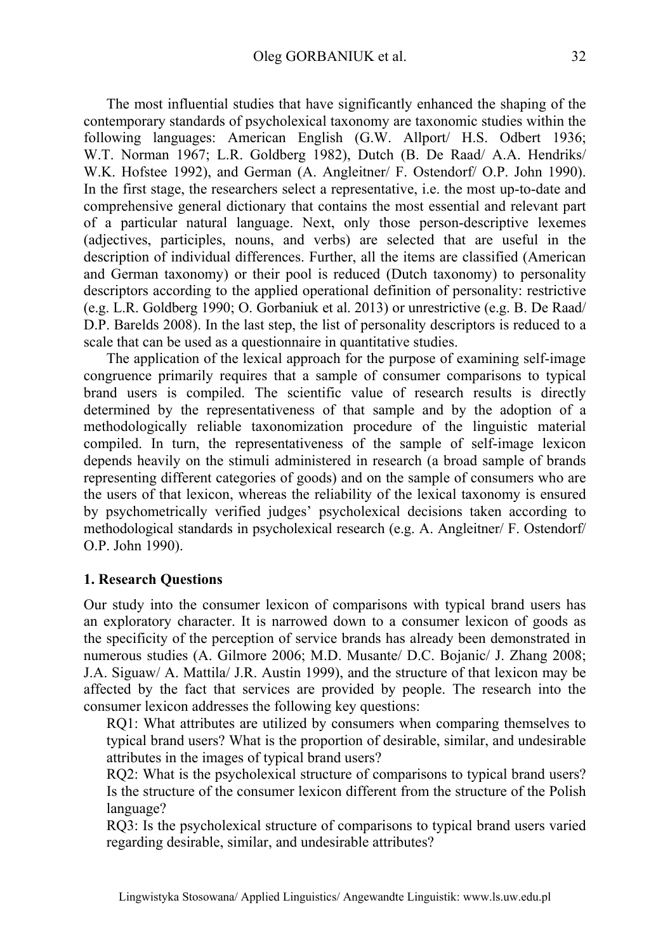The most influential studies that have significantly enhanced the shaping of the contemporary standards of psycholexical taxonomy are taxonomic studies within the following languages: American English (G.W. Allport/ H.S. Odbert 1936; W.T. Norman 1967; L.R. Goldberg 1982), Dutch (B. De Raad/ A.A. Hendriks/ W.K. Hofstee 1992), and German (A. Angleitner/ F. Ostendorf/ O.P. John 1990). In the first stage, the researchers select a representative, i.e. the most up-to-date and comprehensive general dictionary that contains the most essential and relevant part of a particular natural language. Next, only those person-descriptive lexemes (adjectives, participles, nouns, and verbs) are selected that are useful in the description of individual differences. Further, all the items are classified (American and German taxonomy) or their pool is reduced (Dutch taxonomy) to personality descriptors according to the applied operational definition of personality: restrictive (e.g. L.R. Goldberg 1990; O. Gorbaniuk et al. 2013) or unrestrictive (e.g. B. De Raad/ D.P. Barelds 2008). In the last step, the list of personality descriptors is reduced to a scale that can be used as a questionnaire in quantitative studies.

The application of the lexical approach for the purpose of examining self-image congruence primarily requires that a sample of consumer comparisons to typical brand users is compiled. The scientific value of research results is directly determined by the representativeness of that sample and by the adoption of a methodologically reliable taxonomization procedure of the linguistic material compiled. In turn, the representativeness of the sample of self-image lexicon depends heavily on the stimuli administered in research (a broad sample of brands representing different categories of goods) and on the sample of consumers who are the users of that lexicon, whereas the reliability of the lexical taxonomy is ensured by psychometrically verified judges' psycholexical decisions taken according to methodological standards in psycholexical research (e.g. A. Angleitner/ F. Ostendorf/ O.P. John 1990).

### **1. Research Questions**

Our study into the consumer lexicon of comparisons with typical brand users has an exploratory character. It is narrowed down to a consumer lexicon of goods as the specificity of the perception of service brands has already been demonstrated in numerous studies (A. Gilmore 2006; M.D. Musante/ D.C. Bojanic/ J. Zhang 2008; J.A. Siguaw/ A. Mattila/ J.R. Austin 1999), and the structure of that lexicon may be affected by the fact that services are provided by people. The research into the consumer lexicon addresses the following key questions:

RQ1: What attributes are utilized by consumers when comparing themselves to typical brand users? What is the proportion of desirable, similar, and undesirable attributes in the images of typical brand users?

RQ2: What is the psycholexical structure of comparisons to typical brand users? Is the structure of the consumer lexicon different from the structure of the Polish language?

RQ3: Is the psycholexical structure of comparisons to typical brand users varied regarding desirable, similar, and undesirable attributes?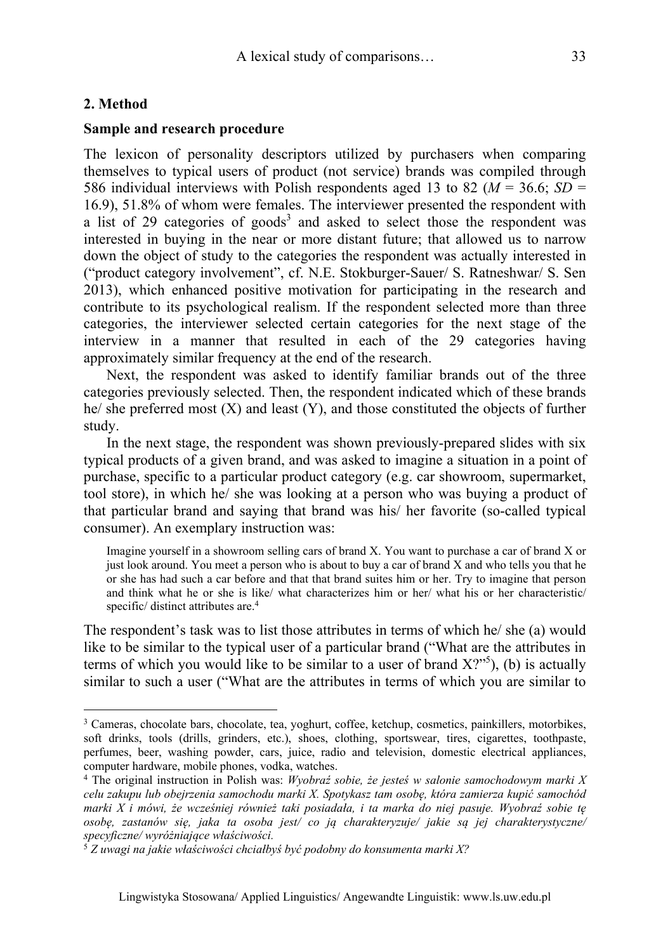## **2. Method**

 $\overline{a}$ 

### **Sample and research procedure**

The lexicon of personality descriptors utilized by purchasers when comparing themselves to typical users of product (not service) brands was compiled through 586 individual interviews with Polish respondents aged 13 to 82 (*M* = 36.6; *SD* = 16.9), 51.8% of whom were females. The interviewer presented the respondent with a list of 29 categories of goods<sup>3</sup> and asked to select those the respondent was interested in buying in the near or more distant future; that allowed us to narrow down the object of study to the categories the respondent was actually interested in ("product category involvement", cf. N.E. Stokburger-Sauer/ S. Ratneshwar/ S. Sen 2013), which enhanced positive motivation for participating in the research and contribute to its psychological realism. If the respondent selected more than three categories, the interviewer selected certain categories for the next stage of the interview in a manner that resulted in each of the 29 categories having approximately similar frequency at the end of the research.

Next, the respondent was asked to identify familiar brands out of the three categories previously selected. Then, the respondent indicated which of these brands he/ she preferred most  $(X)$  and least  $(Y)$ , and those constituted the objects of further study.

In the next stage, the respondent was shown previously-prepared slides with six typical products of a given brand, and was asked to imagine a situation in a point of purchase, specific to a particular product category (e.g. car showroom, supermarket, tool store), in which he/ she was looking at a person who was buying a product of that particular brand and saying that brand was his/ her favorite (so-called typical consumer). An exemplary instruction was:

Imagine yourself in a showroom selling cars of brand X. You want to purchase a car of brand X or just look around. You meet a person who is about to buy a car of brand X and who tells you that he or she has had such a car before and that that brand suites him or her. Try to imagine that person and think what he or she is like/ what characterizes him or her/ what his or her characteristic/ specific/ distinct attributes are.<sup>4</sup>

The respondent's task was to list those attributes in terms of which he/ she (a) would like to be similar to the typical user of a particular brand ("What are the attributes in terms of which you would like to be similar to a user of brand  $X$ ?"<sup>5</sup>), (b) is actually similar to such a user ("What are the attributes in terms of which you are similar to

<sup>3</sup> Cameras, chocolate bars, chocolate, tea, yoghurt, coffee, ketchup, cosmetics, painkillers, motorbikes, soft drinks, tools (drills, grinders, etc.), shoes, clothing, sportswear, tires, cigarettes, toothpaste, perfumes, beer, washing powder, cars, juice, radio and television, domestic electrical appliances, computer hardware, mobile phones, vodka, watches. 4 The original instruction in Polish was: *Wyobraź sobie, że jesteś w salonie samochodowym marki X* 

*celu zakupu lub obejrzenia samochodu marki X. Spotykasz tam osobę, która zamierza kupić samochód marki X i mówi, że wcześniej również taki posiadała, i ta marka do niej pasuje. Wyobraź sobie tę osobę, zastanów się, jaka ta osoba jest/ co ją charakteryzuje/ jakie są jej charakterystyczne/ specyficzne/ wyróżniające właściwości.*

<sup>5</sup> *Z uwagi na jakie właściwości chciałbyś być podobny do konsumenta marki X?*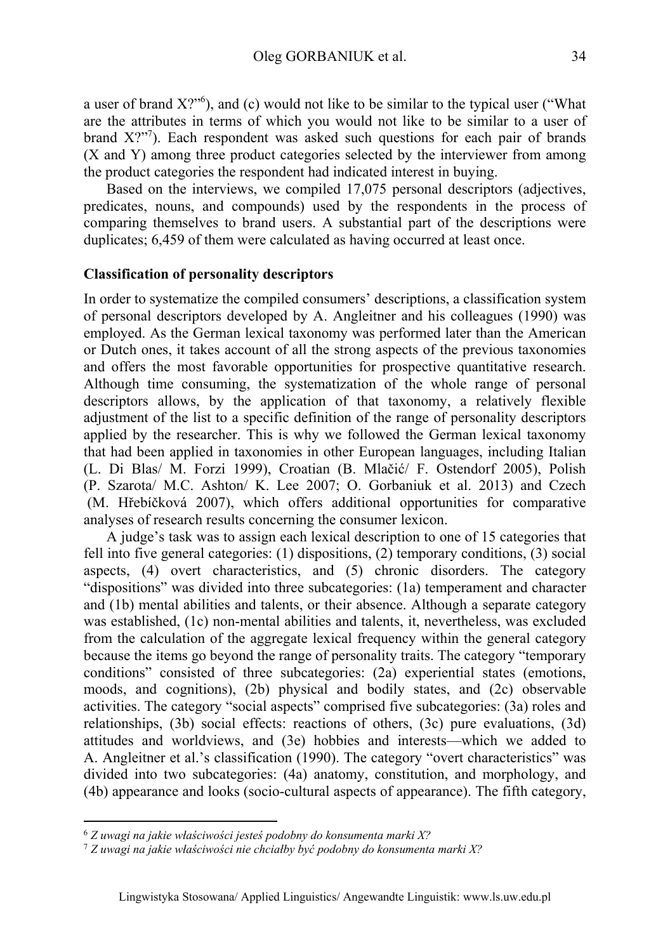a user of brand  $X$ ?<sup>"6</sup>), and (c) would not like to be similar to the typical user ("What are the attributes in terms of which you would not like to be similar to a user of brand X?"<sup>7</sup>). Each respondent was asked such questions for each pair of brands (X and Y) among three product categories selected by the interviewer from among the product categories the respondent had indicated interest in buying.

Based on the interviews, we compiled 17,075 personal descriptors (adjectives, predicates, nouns, and compounds) used by the respondents in the process of comparing themselves to brand users. A substantial part of the descriptions were duplicates; 6,459 of them were calculated as having occurred at least once.

### **Classification of personality descriptors**

In order to systematize the compiled consumers' descriptions, a classification system of personal descriptors developed by A. Angleitner and his colleagues (1990) was employed. As the German lexical taxonomy was performed later than the American or Dutch ones, it takes account of all the strong aspects of the previous taxonomies and offers the most favorable opportunities for prospective quantitative research. Although time consuming, the systematization of the whole range of personal descriptors allows, by the application of that taxonomy, a relatively flexible adjustment of the list to a specific definition of the range of personality descriptors applied by the researcher. This is why we followed the German lexical taxonomy that had been applied in taxonomies in other European languages, including Italian (L. Di Blas/ M. Forzi 1999), Croatian (B. Mlačić/ F. Ostendorf 2005), Polish (P. Szarota/ M.C. Ashton/ K. Lee 2007; O. Gorbaniuk et al. 2013) and Czech (M. Hřebíčková 2007), which offers additional opportunities for comparative analyses of research results concerning the consumer lexicon.

A judge's task was to assign each lexical description to one of 15 categories that fell into five general categories: (1) dispositions, (2) temporary conditions, (3) social aspects, (4) overt characteristics, and (5) chronic disorders. The category "dispositions" was divided into three subcategories: (1a) temperament and character and (1b) mental abilities and talents, or their absence. Although a separate category was established, (1c) non-mental abilities and talents, it, nevertheless, was excluded from the calculation of the aggregate lexical frequency within the general category because the items go beyond the range of personality traits. The category "temporary conditions" consisted of three subcategories: (2a) experiential states (emotions, moods, and cognitions), (2b) physical and bodily states, and (2c) observable activities. The category "social aspects" comprised five subcategories: (3a) roles and relationships, (3b) social effects: reactions of others, (3c) pure evaluations, (3d) attitudes and worldviews, and (3e) hobbies and interests—which we added to A. Angleitner et al.'s classification (1990). The category "overt characteristics" was divided into two subcategories: (4a) anatomy, constitution, and morphology, and (4b) appearance and looks (socio-cultural aspects of appearance). The fifth category,

 $\overline{a}$ 

<sup>6</sup> *Z uwagi na jakie właściwości jesteś podobny do konsumenta marki X?* 

<sup>7</sup> *Z uwagi na jakie właściwości nie chciałby być podobny do konsumenta marki X?*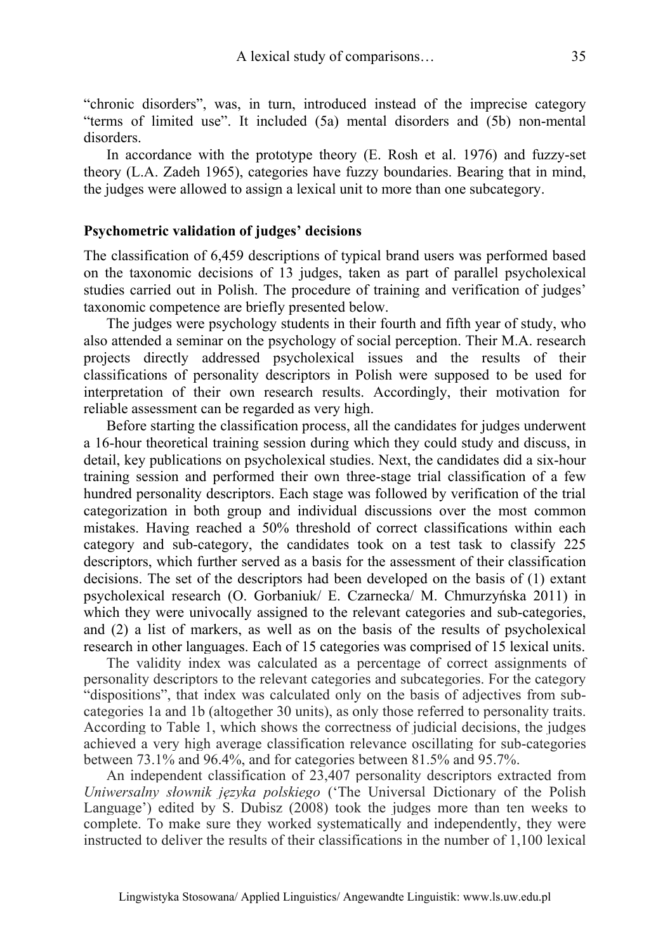"chronic disorders", was, in turn, introduced instead of the imprecise category "terms of limited use". It included (5a) mental disorders and (5b) non-mental disorders.

In accordance with the prototype theory (E. Rosh et al. 1976) and fuzzy-set theory (L.A. Zadeh 1965), categories have fuzzy boundaries. Bearing that in mind, the judges were allowed to assign a lexical unit to more than one subcategory.

### **Psychometric validation of judges' decisions**

The classification of 6,459 descriptions of typical brand users was performed based on the taxonomic decisions of 13 judges, taken as part of parallel psycholexical studies carried out in Polish. The procedure of training and verification of judges' taxonomic competence are briefly presented below.

The judges were psychology students in their fourth and fifth year of study, who also attended a seminar on the psychology of social perception. Their M.A. research projects directly addressed psycholexical issues and the results of their classifications of personality descriptors in Polish were supposed to be used for interpretation of their own research results. Accordingly, their motivation for reliable assessment can be regarded as very high.

Before starting the classification process, all the candidates for judges underwent a 16-hour theoretical training session during which they could study and discuss, in detail, key publications on psycholexical studies. Next, the candidates did a six-hour training session and performed their own three-stage trial classification of a few hundred personality descriptors. Each stage was followed by verification of the trial categorization in both group and individual discussions over the most common mistakes. Having reached a 50% threshold of correct classifications within each category and sub-category, the candidates took on a test task to classify 225 descriptors, which further served as a basis for the assessment of their classification decisions. The set of the descriptors had been developed on the basis of (1) extant psycholexical research (O. Gorbaniuk/ E. Czarnecka/ M. Chmurzyńska 2011) in which they were univocally assigned to the relevant categories and sub-categories, and (2) a list of markers, as well as on the basis of the results of psycholexical research in other languages. Each of 15 categories was comprised of 15 lexical units.

The validity index was calculated as a percentage of correct assignments of personality descriptors to the relevant categories and subcategories. For the category "dispositions", that index was calculated only on the basis of adjectives from subcategories 1a and 1b (altogether 30 units), as only those referred to personality traits. According to Table 1, which shows the correctness of judicial decisions, the judges achieved a very high average classification relevance oscillating for sub-categories between 73.1% and 96.4%, and for categories between 81.5% and 95.7%.

An independent classification of 23,407 personality descriptors extracted from *Uniwersalny słownik języka polskiego* ('The Universal Dictionary of the Polish Language') edited by S. Dubisz (2008) took the judges more than ten weeks to complete. To make sure they worked systematically and independently, they were instructed to deliver the results of their classifications in the number of 1,100 lexical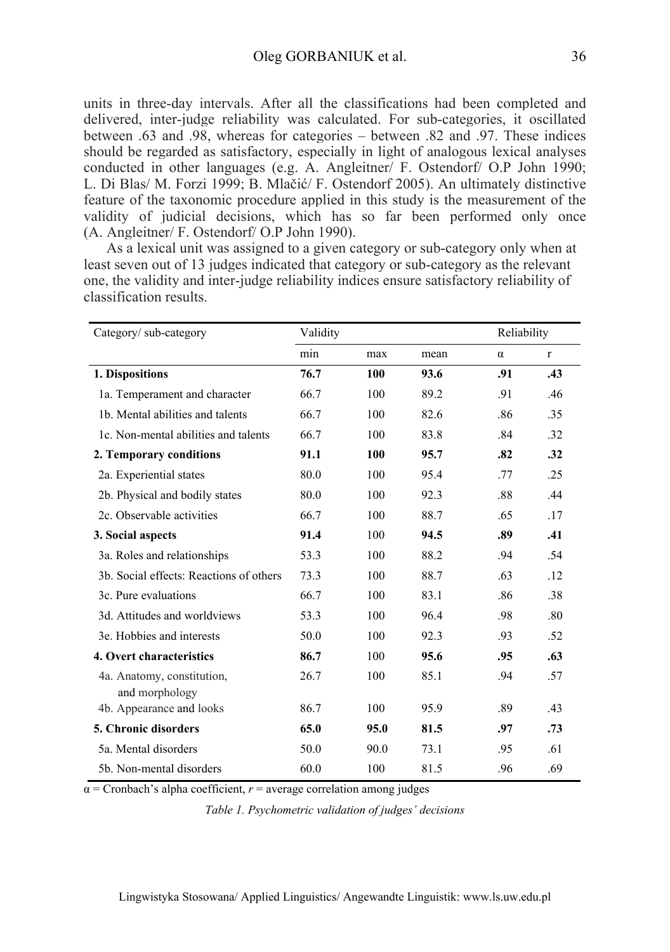units in three-day intervals. After all the classifications had been completed and delivered, inter-judge reliability was calculated. For sub-categories, it oscillated between .63 and .98, whereas for categories – between .82 and .97. These indices should be regarded as satisfactory, especially in light of analogous lexical analyses conducted in other languages (e.g. A. Angleitner/ F. Ostendorf/ O.P John 1990; L. Di Blas/ M. Forzi 1999; B. Mlačić/ F. Ostendorf 2005). An ultimately distinctive feature of the taxonomic procedure applied in this study is the measurement of the validity of judicial decisions, which has so far been performed only once (A. Angleitner/ F. Ostendorf/ O.P John 1990).

As a lexical unit was assigned to a given category or sub-category only when at least seven out of 13 judges indicated that category or sub-category as the relevant one, the validity and inter-judge reliability indices ensure satisfactory reliability of classification results.

| Category/sub-category                   | Validity |      |      | Reliability |              |  |
|-----------------------------------------|----------|------|------|-------------|--------------|--|
|                                         | min      | max  | mean | $\alpha$    | $\mathbf{r}$ |  |
| 1. Dispositions                         | 76.7     | 100  | 93.6 | .91         | .43          |  |
| 1a. Temperament and character           | 66.7     | 100  | 89.2 | .91         | .46          |  |
| 1b. Mental abilities and talents        | 66.7     | 100  | 82.6 | .86         | .35          |  |
| 1c. Non-mental abilities and talents    | 66.7     | 100  | 83.8 | .84         | .32          |  |
| 2. Temporary conditions                 | 91.1     | 100  | 95.7 | .82         | .32          |  |
| 2a. Experiential states                 | 80.0     | 100  | 95.4 | .77         | .25          |  |
| 2b. Physical and bodily states          | 80.0     | 100  | 92.3 | .88         | .44          |  |
| 2c. Observable activities               | 66.7     | 100  | 88.7 | .65         | .17          |  |
| 3. Social aspects                       | 91.4     | 100  | 94.5 | .89         | .41          |  |
| 3a. Roles and relationships             | 53.3     | 100  | 88.2 | .94         | .54          |  |
| 3b. Social effects: Reactions of others | 73.3     | 100  | 88.7 | .63         | .12          |  |
| 3c. Pure evaluations                    | 66.7     | 100  | 83.1 | .86         | .38          |  |
| 3d. Attitudes and worldviews            | 53.3     | 100  | 96.4 | .98         | .80          |  |
| 3e. Hobbies and interests               | 50.0     | 100  | 92.3 | .93         | .52          |  |
| 4. Overt characteristics                | 86.7     | 100  | 95.6 | .95         | .63          |  |
| 4a. Anatomy, constitution,              | 26.7     | 100  | 85.1 | .94         | .57          |  |
| and morphology                          |          |      |      |             |              |  |
| 4b. Appearance and looks                | 86.7     | 100  | 95.9 | .89         | .43          |  |
| <b>5. Chronic disorders</b>             | 65.0     | 95.0 | 81.5 | .97         | .73          |  |
| 5a. Mental disorders                    | 50.0     | 90.0 | 73.1 | .95         | .61          |  |
| 5b. Non-mental disorders                | 60.0     | 100  | 81.5 | .96         | .69          |  |

 $\alpha$  = Cronbach's alpha coefficient,  $r$  = average correlation among judges

*Table 1. Psychometric validation of judges' decisions*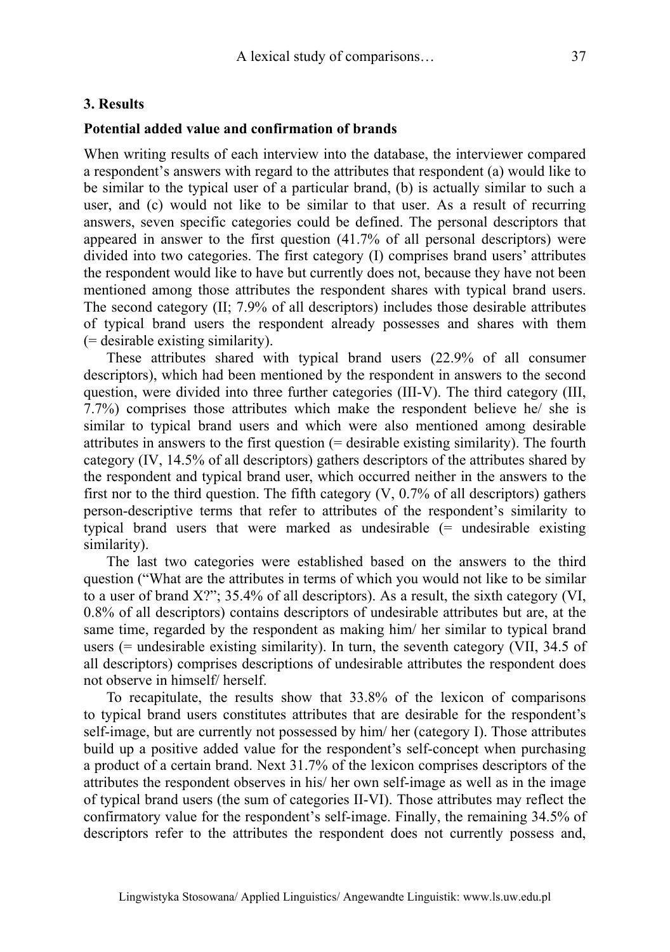## **3. Results**

## **Potential added value and confirmation of brands**

When writing results of each interview into the database, the interviewer compared a respondent's answers with regard to the attributes that respondent (a) would like to be similar to the typical user of a particular brand, (b) is actually similar to such a user, and (c) would not like to be similar to that user. As a result of recurring answers, seven specific categories could be defined. The personal descriptors that appeared in answer to the first question (41.7% of all personal descriptors) were divided into two categories. The first category (I) comprises brand users' attributes the respondent would like to have but currently does not, because they have not been mentioned among those attributes the respondent shares with typical brand users. The second category (II; 7.9% of all descriptors) includes those desirable attributes of typical brand users the respondent already possesses and shares with them (= desirable existing similarity).

These attributes shared with typical brand users (22.9% of all consumer descriptors), which had been mentioned by the respondent in answers to the second question, were divided into three further categories (III-V). The third category (III, 7.7%) comprises those attributes which make the respondent believe he/ she is similar to typical brand users and which were also mentioned among desirable attributes in answers to the first question (= desirable existing similarity). The fourth category (IV, 14.5% of all descriptors) gathers descriptors of the attributes shared by the respondent and typical brand user, which occurred neither in the answers to the first nor to the third question. The fifth category  $(V, 0.7\%$  of all descriptors) gathers person-descriptive terms that refer to attributes of the respondent's similarity to typical brand users that were marked as undesirable  $(=$  undesirable existing similarity).

The last two categories were established based on the answers to the third question ("What are the attributes in terms of which you would not like to be similar to a user of brand X?"; 35.4% of all descriptors). As a result, the sixth category (VI, 0.8% of all descriptors) contains descriptors of undesirable attributes but are, at the same time, regarded by the respondent as making him/ her similar to typical brand users ( $=$  undesirable existing similarity). In turn, the seventh category (VII, 34.5 of all descriptors) comprises descriptions of undesirable attributes the respondent does not observe in himself/ herself.

To recapitulate, the results show that 33.8% of the lexicon of comparisons to typical brand users constitutes attributes that are desirable for the respondent's self-image, but are currently not possessed by him/ her (category I). Those attributes build up a positive added value for the respondent's self-concept when purchasing a product of a certain brand. Next 31.7% of the lexicon comprises descriptors of the attributes the respondent observes in his/ her own self-image as well as in the image of typical brand users (the sum of categories II-VI). Those attributes may reflect the confirmatory value for the respondent's self-image. Finally, the remaining 34.5% of descriptors refer to the attributes the respondent does not currently possess and,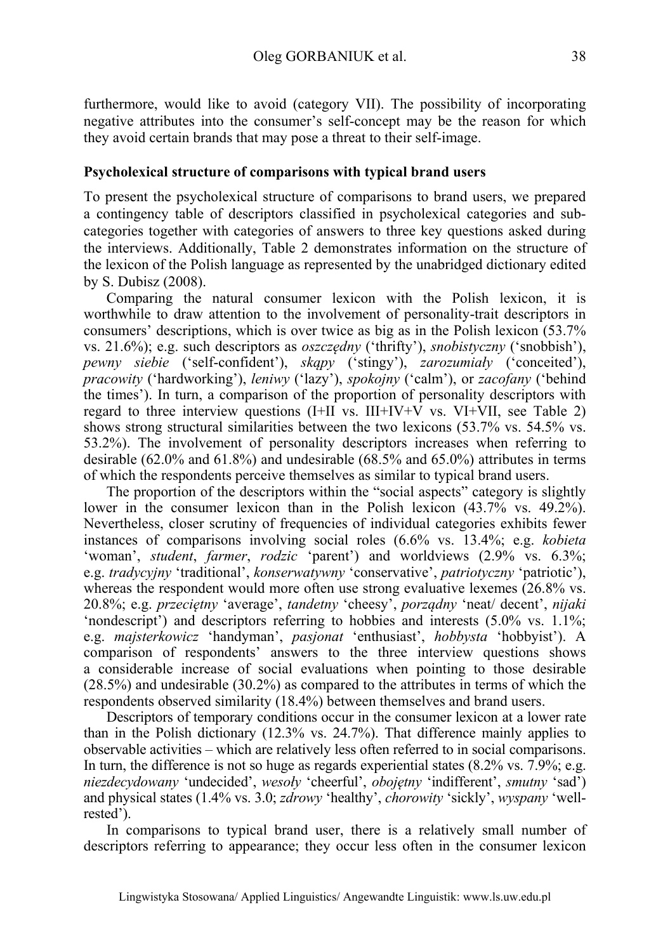furthermore, would like to avoid (category VII). The possibility of incorporating negative attributes into the consumer's self-concept may be the reason for which they avoid certain brands that may pose a threat to their self-image.

### **Psycholexical structure of comparisons with typical brand users**

To present the psycholexical structure of comparisons to brand users, we prepared a contingency table of descriptors classified in psycholexical categories and subcategories together with categories of answers to three key questions asked during the interviews. Additionally, Table 2 demonstrates information on the structure of the lexicon of the Polish language as represented by the unabridged dictionary edited by S. Dubisz (2008).

Comparing the natural consumer lexicon with the Polish lexicon, it is worthwhile to draw attention to the involvement of personality-trait descriptors in consumers' descriptions, which is over twice as big as in the Polish lexicon (53.7% vs. 21.6%); e.g. such descriptors as *oszczędny* ('thrifty'), *snobistyczny* ('snobbish'), *pewny siebie* ('self-confident'), *skąpy* ('stingy'), *zarozumiały* ('conceited'), *pracowity* ('hardworking'), *leniwy* ('lazy'), *spokojny* ('calm'), or *zacofany* ('behind the times'). In turn, a comparison of the proportion of personality descriptors with regard to three interview questions  $(I+II \text{ vs. } III+IV+V \text{ vs. } VI+VII, \text{ see Table 2})$ shows strong structural similarities between the two lexicons (53.7% vs. 54.5% vs. 53.2%). The involvement of personality descriptors increases when referring to desirable (62.0% and 61.8%) and undesirable (68.5% and 65.0%) attributes in terms of which the respondents perceive themselves as similar to typical brand users.

The proportion of the descriptors within the "social aspects" category is slightly lower in the consumer lexicon than in the Polish lexicon (43.7% vs. 49.2%). Nevertheless, closer scrutiny of frequencies of individual categories exhibits fewer instances of comparisons involving social roles (6.6% vs. 13.4%; e.g. *kobieta* 'woman', *student*, *farmer*, *rodzic* 'parent') and worldviews (2.9% vs. 6.3%; e.g. *tradycyjny* 'traditional', *konserwatywny* 'conservative', *patriotyczny* 'patriotic'), whereas the respondent would more often use strong evaluative lexemes (26.8% vs.) 20.8%; e.g. *przeciętny* 'average', *tandetny* 'cheesy', *porządny* 'neat/ decent', *nijaki* 'nondescript') and descriptors referring to hobbies and interests (5.0% vs. 1.1%; e.g. *majsterkowicz* 'handyman', *pasjonat* 'enthusiast', *hobbysta* 'hobbyist'). A comparison of respondents' answers to the three interview questions shows a considerable increase of social evaluations when pointing to those desirable (28.5%) and undesirable (30.2%) as compared to the attributes in terms of which the respondents observed similarity (18.4%) between themselves and brand users.

Descriptors of temporary conditions occur in the consumer lexicon at a lower rate than in the Polish dictionary (12.3% vs. 24.7%). That difference mainly applies to observable activities – which are relatively less often referred to in social comparisons. In turn, the difference is not so huge as regards experiential states  $(8.2\% \text{ vs. } 7.9\%; e.g.,$ *niezdecydowany* 'undecided', *wesoły* 'cheerful', *obojętny* 'indifferent', *smutny* 'sad') and physical states (1.4% vs. 3.0; *zdrowy* 'healthy', *chorowity* 'sickly', *wyspany* 'wellrested').

In comparisons to typical brand user, there is a relatively small number of descriptors referring to appearance; they occur less often in the consumer lexicon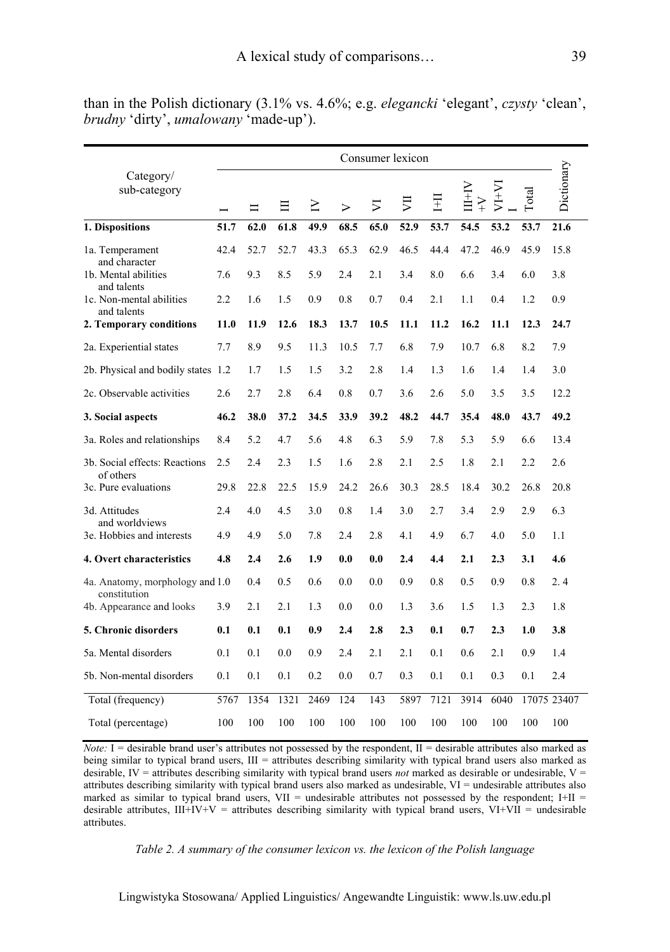|                                                        | Consumer lexicon |      |      |        |                  |                             |      |      |                        |         |              |             |
|--------------------------------------------------------|------------------|------|------|--------|------------------|-----------------------------|------|------|------------------------|---------|--------------|-------------|
| Category/<br>sub-category                              |                  | Ξ    | 目    | $\geq$ | $\triangleright$ | $\overline{\triangleright}$ | 貝    | Ë    | $N+1$<br>$\check{Y}^+$ | $V1+VI$ | <b>Total</b> | Dictionary  |
| 1. Dispositions                                        | 51.7             | 62.0 | 61.8 | 49.9   | 68.5             | 65.0                        | 52.9 | 53.7 | 54.5                   | 53.2    | 53.7         | 21.6        |
| 1a. Temperament                                        | 42.4             | 52.7 | 52.7 | 43.3   | 65.3             | 62.9                        | 46.5 | 44.4 | 47.2                   | 46.9    | 45.9         | 15.8        |
| and character<br>1b. Mental abilities                  | 7.6              | 9.3  | 8.5  | 5.9    | 2.4              | 2.1                         | 3.4  | 8.0  | 6.6                    | 3.4     | 6.0          | 3.8         |
| and talents<br>1c. Non-mental abilities<br>and talents | 2.2              | 1.6  | 1.5  | 0.9    | 0.8              | 0.7                         | 0.4  | 2.1  | 1.1                    | 0.4     | 1.2          | 0.9         |
| 2. Temporary conditions                                | 11.0             | 11.9 | 12.6 | 18.3   | 13.7             | 10.5                        | 11.1 | 11.2 | 16.2                   | 11.1    | 12.3         | 24.7        |
| 2a. Experiential states                                | 7.7              | 8.9  | 9.5  | 11.3   | 10.5             | 7.7                         | 6.8  | 7.9  | 10.7                   | 6.8     | 8.2          | 7.9         |
| 2b. Physical and bodily states 1.2                     |                  | 1.7  | 1.5  | 1.5    | 3.2              | 2.8                         | 1.4  | 1.3  | 1.6                    | 1.4     | 1.4          | 3.0         |
| 2c. Observable activities                              | 2.6              | 2.7  | 2.8  | 6.4    | 0.8              | 0.7                         | 3.6  | 2.6  | 5.0                    | 3.5     | 3.5          | 12.2        |
| 3. Social aspects                                      | 46.2             | 38.0 | 37.2 | 34.5   | 33.9             | 39.2                        | 48.2 | 44.7 | 35.4                   | 48.0    | 43.7         | 49.2        |
| 3a. Roles and relationships                            | 8.4              | 5.2  | 4.7  | 5.6    | 4.8              | 6.3                         | 5.9  | 7.8  | 5.3                    | 5.9     | 6.6          | 13.4        |
| 3b. Social effects: Reactions                          | 2.5              | 2.4  | 2.3  | 1.5    | 1.6              | 2.8                         | 2.1  | 2.5  | 1.8                    | 2.1     | 2.2          | 2.6         |
| of others<br>3c. Pure evaluations                      | 29.8             | 22.8 | 22.5 | 15.9   | 24.2             | 26.6                        | 30.3 | 28.5 | 18.4                   | 30.2    | 26.8         | 20.8        |
| 3d. Attitudes                                          | 2.4              | 4.0  | 4.5  | 3.0    | 0.8              | 1.4                         | 3.0  | 2.7  | 3.4                    | 2.9     | 2.9          | 6.3         |
| and worldviews<br>3e. Hobbies and interests            | 4.9              | 4.9  | 5.0  | 7.8    | 2.4              | 2.8                         | 4.1  | 4.9  | 6.7                    | 4.0     | 5.0          | 1.1         |
| 4. Overt characteristics                               | 4.8              | 2.4  | 2.6  | 1.9    | 0.0              | 0.0                         | 2.4  | 4.4  | 2.1                    | 2.3     | 3.1          | 4.6         |
| 4a. Anatomy, morphology and 1.0<br>constitution        |                  | 0.4  | 0.5  | 0.6    | 0.0              | 0.0                         | 0.9  | 0.8  | 0.5                    | 0.9     | 0.8          | 2.4         |
| 4b. Appearance and looks                               | 3.9              | 2.1  | 2.1  | 1.3    | 0.0              | 0.0                         | 1.3  | 3.6  | 1.5                    | 1.3     | 2.3          | 1.8         |
| <b>5. Chronic disorders</b>                            | 0.1              | 0.1  | 0.1  | 0.9    | 2.4              | 2.8                         | 2.3  | 0.1  | 0.7                    | 2.3     | 1.0          | 3.8         |
| 5a. Mental disorders                                   | 0.1              | 0.1  | 0.0  | 0.9    | 2.4              | 2.1                         | 2.1  | 0.1  | 0.6                    | 2.1     | 0.9          | 1.4         |
| 5b. Non-mental disorders                               | 0.1              | 0.1  | 0.1  | 0.2    | 0.0              | 0.7                         | 0.3  | 0.1  | 0.1                    | 0.3     | 0.1          | 2.4         |
| Total (frequency)                                      | 5767             | 1354 | 1321 | 2469   | 124              | 143                         | 5897 | 7121 | 3914                   | 6040    |              | 17075 23407 |
| Total (percentage)                                     | 100              | 100  | 100  | 100    | 100              | 100                         | 100  | 100  | 100                    | 100     | 100          | 100         |

than in the Polish dictionary (3.1% vs. 4.6%; e.g. *elegancki* 'elegant', *czysty* 'clean', *brudny* 'dirty', *umalowany* 'made-up').

*Note:* I = desirable brand user's attributes not possessed by the respondent,  $II =$  desirable attributes also marked as being similar to typical brand users, III = attributes describing similarity with typical brand users also marked as desirable, IV = attributes describing similarity with typical brand users *not* marked as desirable or undesirable, V = attributes describing similarity with typical brand users also marked as undesirable, VI = undesirable attributes also marked as similar to typical brand users, VII = undesirable attributes not possessed by the respondent;  $I+II$  = desirable attributes,  $III+IV+V =$  attributes describing similarity with typical brand users,  $VI+VII =$  undesirable attributes.

*Table 2. A summary of the consumer lexicon vs. the lexicon of the Polish language* 

Lingwistyka Stosowana/ Applied Linguistics/ Angewandte Linguistik: www.ls.uw.edu.pl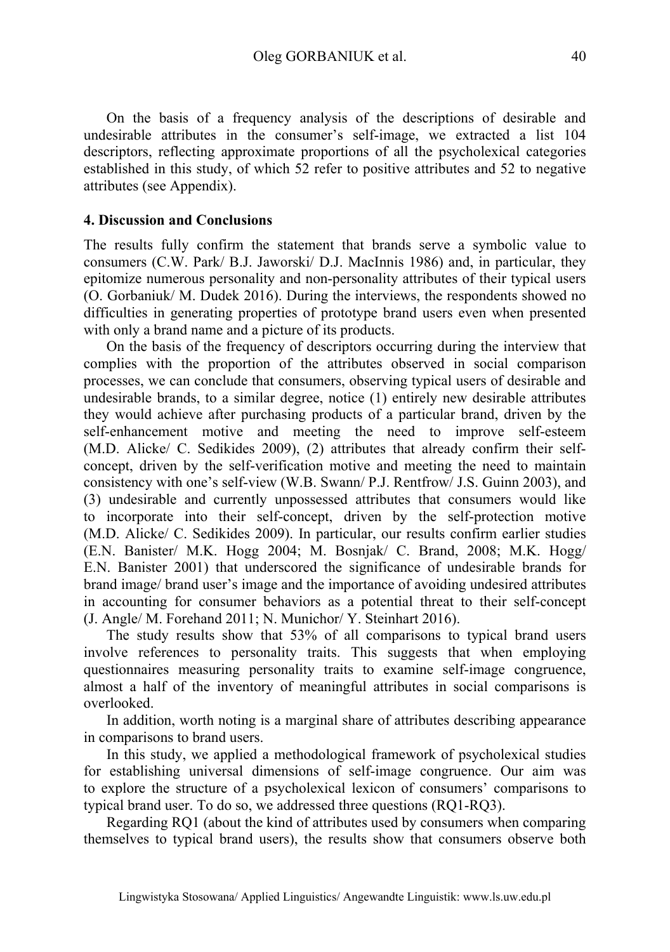On the basis of a frequency analysis of the descriptions of desirable and undesirable attributes in the consumer's self-image, we extracted a list 104 descriptors, reflecting approximate proportions of all the psycholexical categories established in this study, of which 52 refer to positive attributes and 52 to negative attributes (see Appendix).

### **4. Discussion and Conclusions**

The results fully confirm the statement that brands serve a symbolic value to consumers (C.W. Park/ B.J. Jaworski/ D.J. MacInnis 1986) and, in particular, they epitomize numerous personality and non-personality attributes of their typical users (O. Gorbaniuk/ M. Dudek 2016). During the interviews, the respondents showed no difficulties in generating properties of prototype brand users even when presented with only a brand name and a picture of its products.

On the basis of the frequency of descriptors occurring during the interview that complies with the proportion of the attributes observed in social comparison processes, we can conclude that consumers, observing typical users of desirable and undesirable brands, to a similar degree, notice (1) entirely new desirable attributes they would achieve after purchasing products of a particular brand, driven by the self-enhancement motive and meeting the need to improve self-esteem (M.D. Alicke/ C. Sedikides 2009), (2) attributes that already confirm their selfconcept, driven by the self-verification motive and meeting the need to maintain consistency with one's self-view (W.B. Swann/ P.J. Rentfrow/ J.S. Guinn 2003), and (3) undesirable and currently unpossessed attributes that consumers would like to incorporate into their self-concept, driven by the self-protection motive (M.D. Alicke/ C. Sedikides 2009). In particular, our results confirm earlier studies (E.N. Banister/ M.K. Hogg 2004; M. Bosnjak/ C. Brand, 2008; M.K. Hogg/ E.N. Banister 2001) that underscored the significance of undesirable brands for brand image/ brand user's image and the importance of avoiding undesired attributes in accounting for consumer behaviors as a potential threat to their self-concept (J. Angle/ M. Forehand 2011; N. Munichor/ Y. Steinhart 2016).

The study results show that 53% of all comparisons to typical brand users involve references to personality traits. This suggests that when employing questionnaires measuring personality traits to examine self-image congruence, almost a half of the inventory of meaningful attributes in social comparisons is overlooked.

In addition, worth noting is a marginal share of attributes describing appearance in comparisons to brand users.

In this study, we applied a methodological framework of psycholexical studies for establishing universal dimensions of self-image congruence. Our aim was to explore the structure of a psycholexical lexicon of consumers' comparisons to typical brand user. To do so, we addressed three questions (RQ1-RQ3).

Regarding RQ1 (about the kind of attributes used by consumers when comparing themselves to typical brand users), the results show that consumers observe both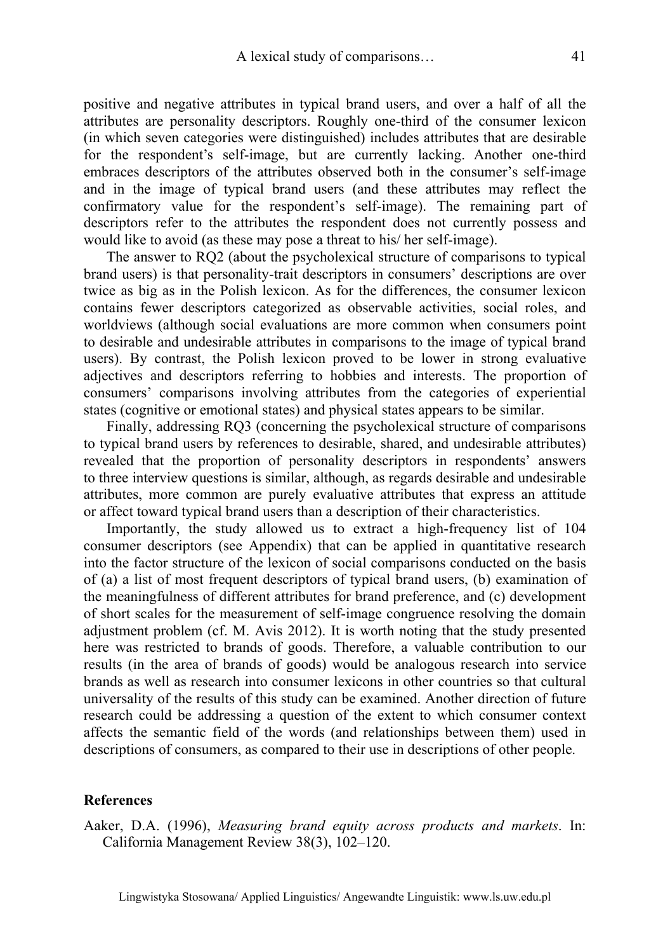positive and negative attributes in typical brand users, and over a half of all the attributes are personality descriptors. Roughly one-third of the consumer lexicon (in which seven categories were distinguished) includes attributes that are desirable for the respondent's self-image, but are currently lacking. Another one-third embraces descriptors of the attributes observed both in the consumer's self-image and in the image of typical brand users (and these attributes may reflect the confirmatory value for the respondent's self-image). The remaining part of descriptors refer to the attributes the respondent does not currently possess and would like to avoid (as these may pose a threat to his/ her self-image).

The answer to RQ2 (about the psycholexical structure of comparisons to typical brand users) is that personality-trait descriptors in consumers' descriptions are over twice as big as in the Polish lexicon. As for the differences, the consumer lexicon contains fewer descriptors categorized as observable activities, social roles, and worldviews (although social evaluations are more common when consumers point to desirable and undesirable attributes in comparisons to the image of typical brand users). By contrast, the Polish lexicon proved to be lower in strong evaluative adjectives and descriptors referring to hobbies and interests. The proportion of consumers' comparisons involving attributes from the categories of experiential states (cognitive or emotional states) and physical states appears to be similar.

Finally, addressing RQ3 (concerning the psycholexical structure of comparisons to typical brand users by references to desirable, shared, and undesirable attributes) revealed that the proportion of personality descriptors in respondents' answers to three interview questions is similar, although, as regards desirable and undesirable attributes, more common are purely evaluative attributes that express an attitude or affect toward typical brand users than a description of their characteristics.

Importantly, the study allowed us to extract a high-frequency list of 104 consumer descriptors (see Appendix) that can be applied in quantitative research into the factor structure of the lexicon of social comparisons conducted on the basis of (a) a list of most frequent descriptors of typical brand users, (b) examination of the meaningfulness of different attributes for brand preference, and (c) development of short scales for the measurement of self-image congruence resolving the domain adjustment problem (cf. M. Avis 2012). It is worth noting that the study presented here was restricted to brands of goods. Therefore, a valuable contribution to our results (in the area of brands of goods) would be analogous research into service brands as well as research into consumer lexicons in other countries so that cultural universality of the results of this study can be examined. Another direction of future research could be addressing a question of the extent to which consumer context affects the semantic field of the words (and relationships between them) used in descriptions of consumers, as compared to their use in descriptions of other people.

### **References**

Aaker, D.A. (1996), *Measuring brand equity across products and markets*. In: California Management Review 38(3), 102–120.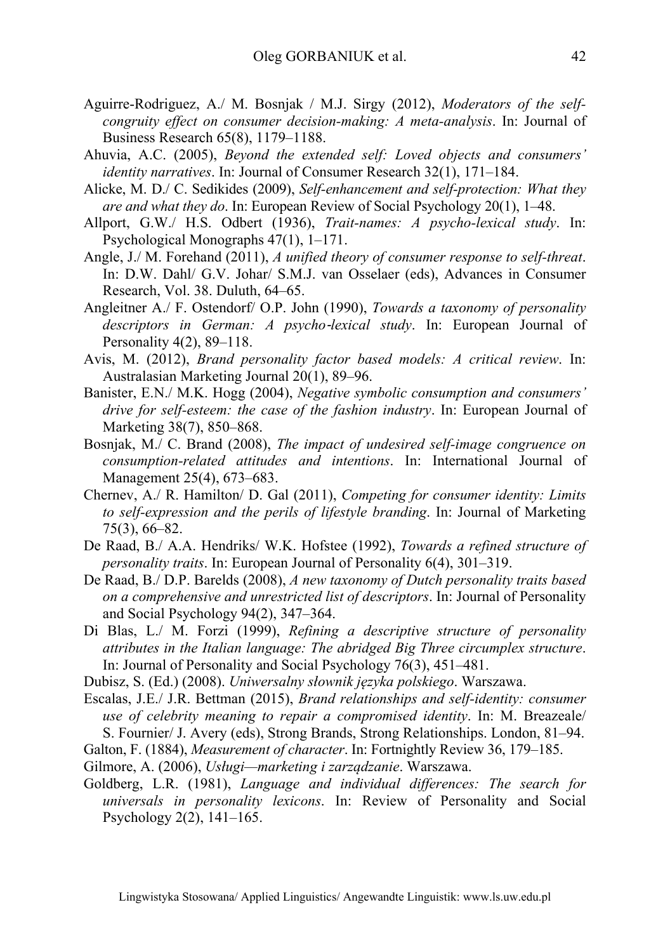- Aguirre-Rodriguez, A./ M. Bosnjak / M.J. Sirgy (2012), *Moderators of the selfcongruity effect on consumer decision-making: A meta-analysis*. In: Journal of Business Research 65(8), 1179–1188.
- Ahuvia, A.C. (2005), *Beyond the extended self: Loved objects and consumers' identity narratives*. In: Journal of Consumer Research 32(1), 171–184.
- Alicke, M. D./ C. Sedikides (2009), *Self-enhancement and self-protection: What they are and what they do*. In: European Review of Social Psychology 20(1), 1–48.
- Allport, G.W./ H.S. Odbert (1936), *Trait-names: A psycho-lexical study*. In: Psychological Monographs 47(1), 1–171.
- Angle, J./ M. Forehand (2011), *A unified theory of consumer response to self-threat*. In: D.W. Dahl/ G.V. Johar/ S.M.J. van Osselaer (eds), Advances in Consumer Research, Vol. 38. Duluth, 64–65.
- Angleitner A./ F. Ostendorf/ O.P. John (1990), *Towards a taxonomy of personality descriptors in German: A psycho-lexical study*. In: European Journal of Personality 4(2), 89–118.
- Avis, M. (2012), *Brand personality factor based models: A critical review*. In: Australasian Marketing Journal 20(1), 89–96.
- Banister, E.N./ M.K. Hogg (2004), *Negative symbolic consumption and consumers' drive for self-esteem: the case of the fashion industry*. In: European Journal of Marketing 38(7), 850–868.
- Bosnjak, M./ C. Brand (2008), *The impact of undesired self-image congruence on consumption-related attitudes and intentions*. In: International Journal of Management 25(4), 673–683.
- Chernev, A./ R. Hamilton/ D. Gal (2011), *Competing for consumer identity: Limits to self-expression and the perils of lifestyle branding*. In: Journal of Marketing 75(3), 66–82.
- De Raad, B./ A.A. Hendriks/ W.K. Hofstee (1992), *Towards a refined structure of personality traits*. In: European Journal of Personality 6(4), 301–319.
- De Raad, B./ D.P. Barelds (2008), *A new taxonomy of Dutch personality traits based on a comprehensive and unrestricted list of descriptors*. In: Journal of Personality and Social Psychology 94(2), 347–364.
- Di Blas, L./ M. Forzi (1999), *Refining a descriptive structure of personality attributes in the Italian language: The abridged Big Three circumplex structure*. In: Journal of Personality and Social Psychology 76(3), 451–481.
- Dubisz, S. (Ed.) (2008). *Uniwersalny słownik języka polskiego*. Warszawa.
- Escalas, J.E./ J.R. Bettman (2015), *Brand relationships and self-identity: consumer use of celebrity meaning to repair a compromised identity*. In: M. Breazeale/ S. Fournier/ J. Avery (eds), Strong Brands, Strong Relationships. London, 81–94.
- Galton, F. (1884), *Measurement of character*. In: Fortnightly Review 36, 179–185.
- Gilmore, A. (2006), *Usługi—marketing i zarządzanie*. Warszawa.
- Goldberg, L.R. (1981), *Language and individual differences: The search for universals in personality lexicons*. In: Review of Personality and Social Psychology 2(2), 141–165.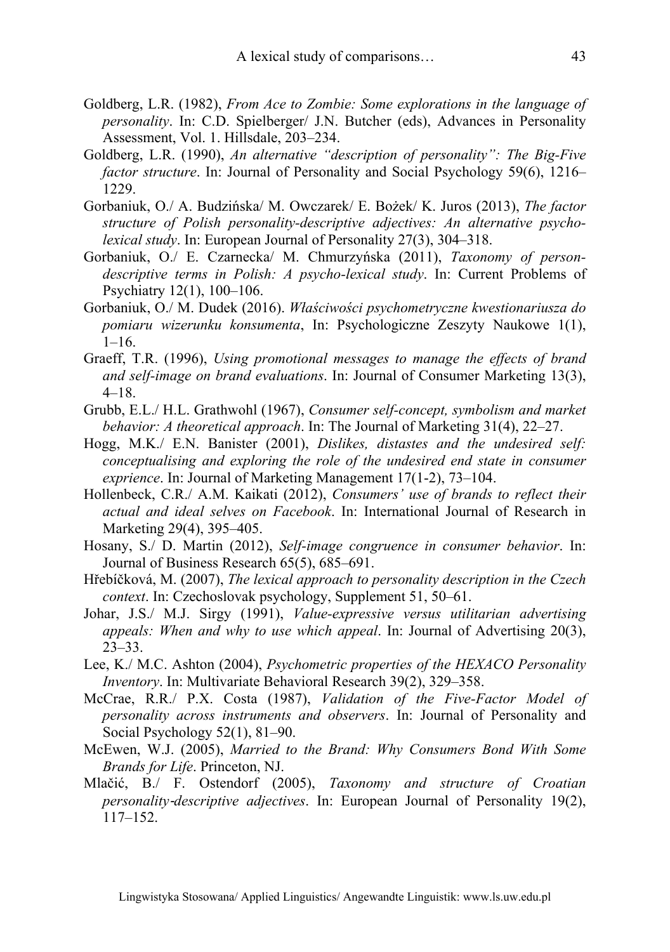- Goldberg, L.R. (1982), *From Ace to Zombie: Some explorations in the language of personality*. In: C.D. Spielberger/ J.N. Butcher (eds), Advances in Personality Assessment, Vol. 1. Hillsdale, 203–234.
- Goldberg, L.R. (1990), *An alternative "description of personality": The Big-Five factor structure*. In: Journal of Personality and Social Psychology 59(6), 1216– 1229.
- Gorbaniuk, O./ A. Budzińska/ M. Owczarek/ E. Bożek/ K. Juros (2013), *The factor structure of Polish personality-descriptive adjectives: An alternative psycholexical study*. In: European Journal of Personality 27(3), 304–318.
- Gorbaniuk, O./ E. Czarnecka/ M. Chmurzyńska (2011), *Taxonomy of persondescriptive terms in Polish: A psycho-lexical study*. In: Current Problems of Psychiatry 12(1), 100–106.
- Gorbaniuk, O./ M. Dudek (2016). *Właściwości psychometryczne kwestionariusza do pomiaru wizerunku konsumenta*, In: Psychologiczne Zeszyty Naukowe 1(1),  $1-16.$
- Graeff, T.R. (1996), *Using promotional messages to manage the effects of brand and self-image on brand evaluations*. In: Journal of Consumer Marketing 13(3), 4–18.
- Grubb, E.L./ H.L. Grathwohl (1967), *Consumer self-concept, symbolism and market behavior: A theoretical approach*. In: The Journal of Marketing 31(4), 22–27.
- Hogg, M.K./ E.N. Banister (2001), *Dislikes, distastes and the undesired self: conceptualising and exploring the role of the undesired end state in consumer exprience*. In: Journal of Marketing Management 17(1-2), 73–104.
- Hollenbeck, C.R./ A.M. Kaikati (2012), *Consumers' use of brands to reflect their actual and ideal selves on Facebook*. In: International Journal of Research in Marketing 29(4), 395–405.
- Hosany, S./ D. Martin (2012), *Self-image congruence in consumer behavior*. In: Journal of Business Research 65(5), 685–691.
- Hřebíčková, M. (2007), *The lexical approach to personality description in the Czech context*. In: Czechoslovak psychology, Supplement 51, 50–61.
- Johar, J.S./ M.J. Sirgy (1991), *Value-expressive versus utilitarian advertising appeals: When and why to use which appeal*. In: Journal of Advertising 20(3), 23–33.
- Lee, K./ M.C. Ashton (2004), *Psychometric properties of the HEXACO Personality Inventory*. In: Multivariate Behavioral Research 39(2), 329–358.
- McCrae, R.R./ P.X. Costa (1987), *Validation of the Five-Factor Model of personality across instruments and observers*. In: Journal of Personality and Social Psychology 52(1), 81–90.
- McEwen, W.J. (2005), *Married to the Brand: Why Consumers Bond With Some Brands for Life*. Princeton, NJ.
- Mlačić, B./ F. Ostendorf (2005), *Taxonomy and structure of Croatian personality*‐*descriptive adjectives*. In: European Journal of Personality 19(2), 117–152.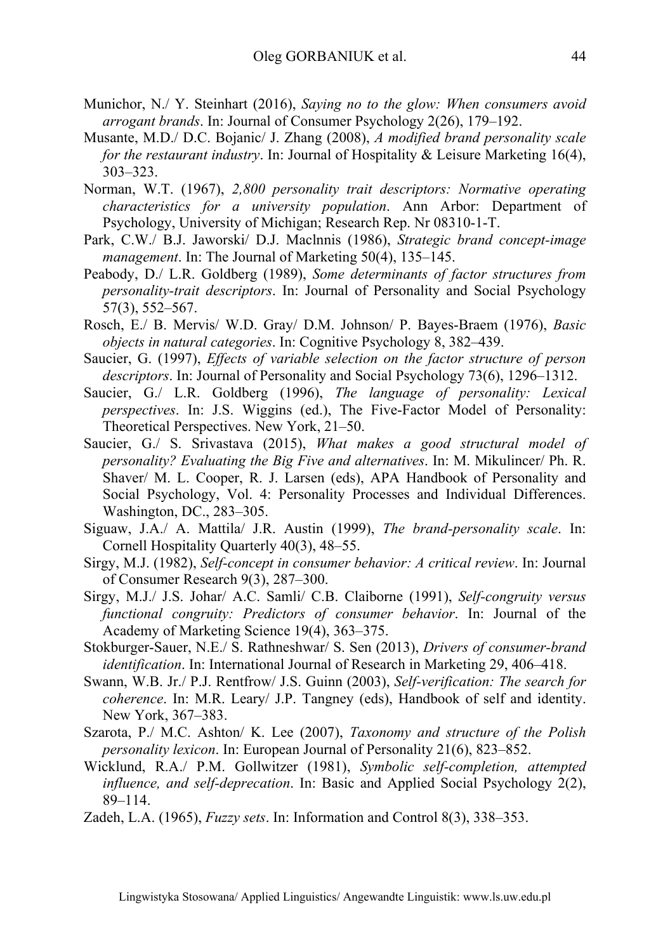- Munichor, N./ Y. Steinhart (2016), *Saying no to the glow: When consumers avoid arrogant brands*. In: Journal of Consumer Psychology 2(26), 179–192.
- Musante, M.D./ D.C. Bojanic/ J. Zhang (2008), *A modified brand personality scale for the restaurant industry*. In: Journal of Hospitality & Leisure Marketing 16(4), 303–323.
- Norman, W.T. (1967), *2,800 personality trait descriptors: Normative operating characteristics for a university population*. Ann Arbor: Department of Psychology, University of Michigan; Research Rep. Nr 08310-1-T.
- Park, C.W./ B.J. Jaworski/ D.J. Maclnnis (1986), *Strategic brand concept-image management*. In: The Journal of Marketing 50(4), 135–145.
- Peabody, D./ L.R. Goldberg (1989), *Some determinants of factor structures from personality-trait descriptors*. In: Journal of Personality and Social Psychology 57(3), 552–567.
- Rosch, E./ B. Mervis/ W.D. Gray/ D.M. Johnson/ P. Bayes-Braem (1976), *Basic objects in natural categories*. In: Cognitive Psychology 8, 382–439.
- Saucier, G. (1997), *Effects of variable selection on the factor structure of person descriptors*. In: Journal of Personality and Social Psychology 73(6), 1296–1312.
- Saucier, G./ L.R. Goldberg (1996), *The language of personality: Lexical perspectives*. In: J.S. Wiggins (ed.), The Five-Factor Model of Personality: Theoretical Perspectives. New York, 21–50.
- Saucier, G./ S. Srivastava (2015), *What makes a good structural model of personality? Evaluating the Big Five and alternatives*. In: M. Mikulincer/ Ph. R. Shaver/ M. L. Cooper, R. J. Larsen (eds), APA Handbook of Personality and Social Psychology, Vol. 4: Personality Processes and Individual Differences. Washington, DC., 283–305.
- Siguaw, J.A./ A. Mattila/ J.R. Austin (1999), *The brand-personality scale*. In: Cornell Hospitality Quarterly 40(3), 48–55.
- Sirgy, M.J. (1982), *Self-concept in consumer behavior: A critical review*. In: Journal of Consumer Research 9(3), 287–300.
- Sirgy, M.J./ J.S. Johar/ A.C. Samli/ C.B. Claiborne (1991), *Self-congruity versus functional congruity: Predictors of consumer behavior*. In: Journal of the Academy of Marketing Science 19(4), 363–375.
- Stokburger-Sauer, N.E./ S. Rathneshwar/ S. Sen (2013), *Drivers of consumer-brand identification*. In: International Journal of Research in Marketing 29, 406–418.
- Swann, W.B. Jr./ P.J. Rentfrow/ J.S. Guinn (2003), *Self-verification: The search for coherence*. In: M.R. Leary/ J.P. Tangney (eds), Handbook of self and identity. New York, 367–383.
- Szarota, P./ M.C. Ashton/ K. Lee (2007), *Taxonomy and structure of the Polish personality lexicon*. In: European Journal of Personality 21(6), 823–852.
- Wicklund, R.A./ P.M. Gollwitzer (1981), *Symbolic self-completion, attempted influence, and self-deprecation*. In: Basic and Applied Social Psychology 2(2), 89–114.
- Zadeh, L.A. (1965), *Fuzzy sets*. In: Information and Control 8(3), 338–353.